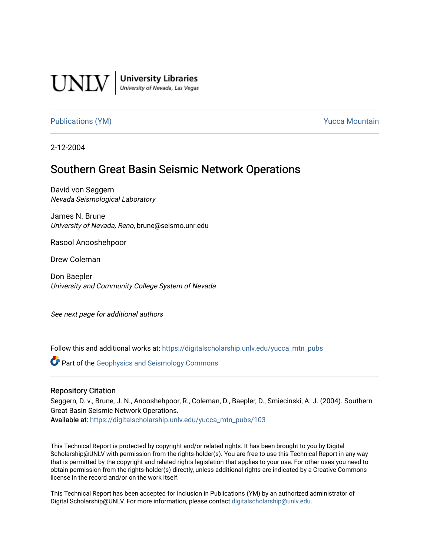

**University Libraries**<br>University of Nevada, Las Vegas

[Publications \(YM\)](https://digitalscholarship.unlv.edu/yucca_mtn_pubs) **Publications (YM) Publications (YM) Publications** (*YM*)

2-12-2004

# Southern Great Basin Seismic Network Operations

David von Seggern Nevada Seismological Laboratory

James N. Brune University of Nevada, Reno, brune@seismo.unr.edu

Rasool Anooshehpoor

Drew Coleman

Don Baepler University and Community College System of Nevada

See next page for additional authors

Follow this and additional works at: [https://digitalscholarship.unlv.edu/yucca\\_mtn\\_pubs](https://digitalscholarship.unlv.edu/yucca_mtn_pubs?utm_source=digitalscholarship.unlv.edu%2Fyucca_mtn_pubs%2F103&utm_medium=PDF&utm_campaign=PDFCoverPages)

**C** Part of the Geophysics and Seismology Commons

#### Repository Citation

Seggern, D. v., Brune, J. N., Anooshehpoor, R., Coleman, D., Baepler, D., Smiecinski, A. J. (2004). Southern Great Basin Seismic Network Operations. Available at: [https://digitalscholarship.unlv.edu/yucca\\_mtn\\_pubs/103](https://digitalscholarship.unlv.edu/yucca_mtn_pubs/103) 

This Technical Report is protected by copyright and/or related rights. It has been brought to you by Digital Scholarship@UNLV with permission from the rights-holder(s). You are free to use this Technical Report in any way that is permitted by the copyright and related rights legislation that applies to your use. For other uses you need to obtain permission from the rights-holder(s) directly, unless additional rights are indicated by a Creative Commons license in the record and/or on the work itself.

This Technical Report has been accepted for inclusion in Publications (YM) by an authorized administrator of Digital Scholarship@UNLV. For more information, please contact [digitalscholarship@unlv.edu](mailto:digitalscholarship@unlv.edu).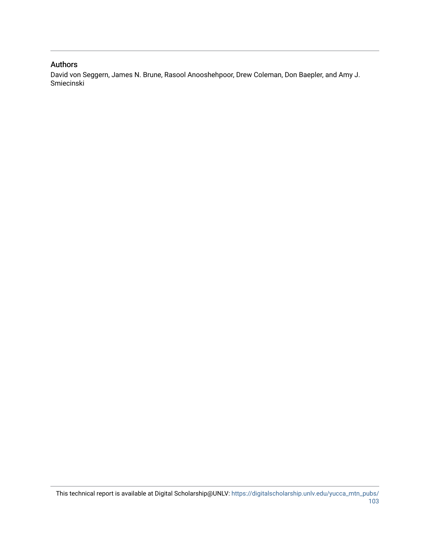#### Authors

David von Seggern, James N. Brune, Rasool Anooshehpoor, Drew Coleman, Don Baepler, and Amy J. Smiecinski

This technical report is available at Digital Scholarship@UNLV: [https://digitalscholarship.unlv.edu/yucca\\_mtn\\_pubs/](https://digitalscholarship.unlv.edu/yucca_mtn_pubs/103) [103](https://digitalscholarship.unlv.edu/yucca_mtn_pubs/103)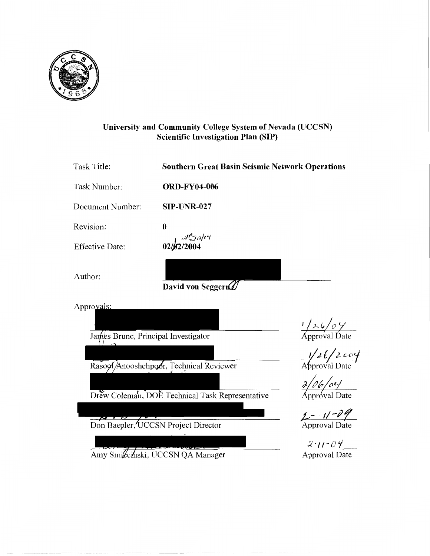

### **University and Community College System of Nevada (UCCSN) Scientific Investigation Plan (SIP)**

| Task Title:                         | <b>Southern Great Basin Seismic Network Operations</b> |                                                                                                                                                                              |
|-------------------------------------|--------------------------------------------------------|------------------------------------------------------------------------------------------------------------------------------------------------------------------------------|
| Task Number:                        | <b>ORD-FY04-006</b>                                    |                                                                                                                                                                              |
| Document Number:                    | <b>SIP-UNR-027</b>                                     |                                                                                                                                                                              |
| Revision:                           | $\bf{0}$                                               |                                                                                                                                                                              |
| <b>Effective Date:</b>              | $02/\sqrt{32/2004}$                                    |                                                                                                                                                                              |
| Author:                             | David von Seggern                                      |                                                                                                                                                                              |
| Approvals:                          |                                                        |                                                                                                                                                                              |
|                                     |                                                        | $\frac{1}{\sqrt{2\sqrt{6}}\sqrt{2}}$<br>Approval Date                                                                                                                        |
| James Brune, Principal Investigator |                                                        |                                                                                                                                                                              |
|                                     | Rasool Anooshehpoor, Technical Reviewer                | $\frac{1}{2}$ Approval Date                                                                                                                                                  |
|                                     |                                                        | $\frac{\partial}{\partial \rho}$ / $\frac{\partial}{\partial \rho}$ / $\frac{\partial}{\partial \rho}$ / $\frac{\partial}{\partial \rho}$ / $\frac{\partial}{\partial \rho}$ |
|                                     | Drew Coleman, DOE Technical Task Representative        |                                                                                                                                                                              |
|                                     |                                                        |                                                                                                                                                                              |
|                                     | Don Baepler, UCCSN Project Director                    | Approval Date                                                                                                                                                                |
|                                     |                                                        | $2 - 11 - 04$                                                                                                                                                                |
|                                     | Amy Smiccinski, UCCSN QA Manager                       | <b>Approval Date</b>                                                                                                                                                         |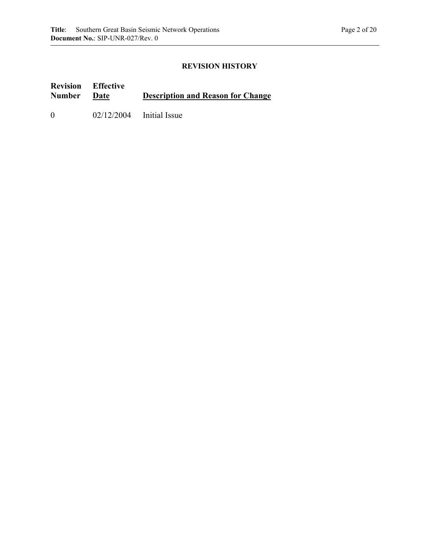### **REVISION HISTORY**

#### **Revision Number Effective Description and Reason for Change** 0 02/12/2004 Initial Issue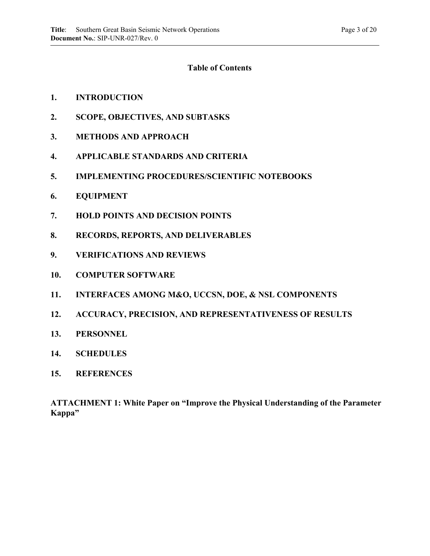### **Table of Contents**

### **1. INTRODUCTION**

- **2. SCOPE, OBJECTIVES, AND SUBTASKS**
- **3. METHODS AND APPROACH**
- **4. APPLICABLE STANDARDS AND CRITERIA**
- **5. IMPLEMENTING PROCEDURES/SCIENTIFIC NOTEBOOKS**
- **6. EQUIPMENT**
- **7. HOLD POINTS AND DECISION POINTS**
- **8. RECORDS, REPORTS, AND DELIVERABLES**
- **9. VERIFICATIONS AND REVIEWS**
- **10. COMPUTER SOFTWARE**
- **11. INTERFACES AMONG M&O, UCCSN, DOE, & NSL COMPONENTS**
- **12. ACCURACY, PRECISION, AND REPRESENTATIVENESS OF RESULTS**
- **13. PERSONNEL**
- **14. SCHEDULES**
- **15. REFERENCES**

**ATTACHMENT 1: White Paper on "Improve the Physical Understanding of the Parameter Kappa"**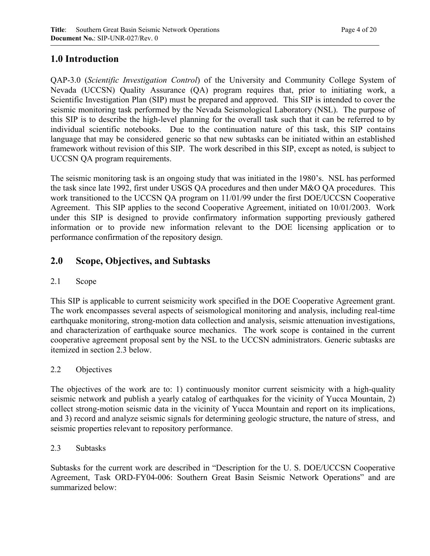# **1.0 Introduction**

QAP-3.0 (*Scientific Investigation Control*) of the University and Community College System of Nevada (UCCSN) Quality Assurance (QA) program requires that, prior to initiating work, a Scientific Investigation Plan (SIP) must be prepared and approved. This SIP is intended to cover the seismic monitoring task performed by the Nevada Seismological Laboratory (NSL). The purpose of this SIP is to describe the high-level planning for the overall task such that it can be referred to by individual scientific notebooks. Due to the continuation nature of this task, this SIP contains language that may be considered generic so that new subtasks can be initiated within an established framework without revision of this SIP. The work described in this SIP, except as noted, is subject to UCCSN QA program requirements.

The seismic monitoring task is an ongoing study that was initiated in the 1980's. NSL has performed the task since late 1992, first under USGS QA procedures and then under M&O QA procedures. This work transitioned to the UCCSN QA program on 11/01/99 under the first DOE/UCCSN Cooperative Agreement. This SIP applies to the second Cooperative Agreement, initiated on 10/01/2003. Work under this SIP is designed to provide confirmatory information supporting previously gathered information or to provide new information relevant to the DOE licensing application or to performance confirmation of the repository design.

# **2.0 Scope, Objectives, and Subtasks**

### 2.1 Scope

This SIP is applicable to current seismicity work specified in the DOE Cooperative Agreement grant. The work encompasses several aspects of seismological monitoring and analysis, including real-time earthquake monitoring, strong-motion data collection and analysis, seismic attenuation investigations, and characterization of earthquake source mechanics. The work scope is contained in the current cooperative agreement proposal sent by the NSL to the UCCSN administrators. Generic subtasks are itemized in section 2.3 below.

### 2.2 Objectives

The objectives of the work are to: 1) continuously monitor current seismicity with a high-quality seismic network and publish a yearly catalog of earthquakes for the vicinity of Yucca Mountain, 2) collect strong-motion seismic data in the vicinity of Yucca Mountain and report on its implications, and 3) record and analyze seismic signals for determining geologic structure, the nature of stress, and seismic properties relevant to repository performance.

### 2.3 Subtasks

Subtasks for the current work are described in "Description for the U. S. DOE/UCCSN Cooperative Agreement, Task ORD-FY04-006: Southern Great Basin Seismic Network Operations" and are summarized below: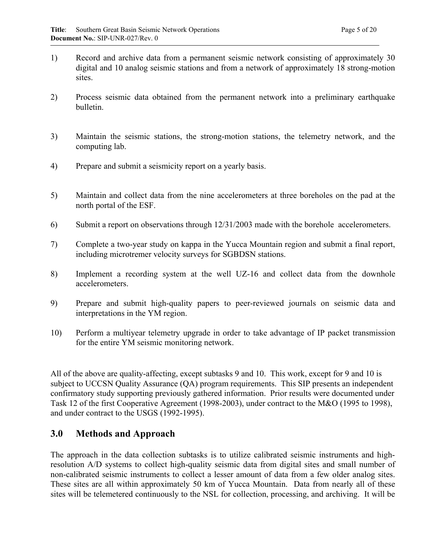- 1) Record and archive data from a permanent seismic network consisting of approximately 30 digital and 10 analog seismic stations and from a network of approximately 18 strong-motion sites.
- 2) Process seismic data obtained from the permanent network into a preliminary earthquake bulletin.
- 3) Maintain the seismic stations, the strong-motion stations, the telemetry network, and the computing lab.
- 4) Prepare and submit a seismicity report on a yearly basis.
- 5) Maintain and collect data from the nine accelerometers at three boreholes on the pad at the north portal of the ESF.
- 6) Submit a report on observations through 12/31/2003 made with the borehole accelerometers.
- 7) Complete a two-year study on kappa in the Yucca Mountain region and submit a final report, including microtremer velocity surveys for SGBDSN stations.
- 8) Implement a recording system at the well UZ-16 and collect data from the downhole accelerometers.
- 9) Prepare and submit high-quality papers to peer-reviewed journals on seismic data and interpretations in the YM region.
- 10) Perform a multiyear telemetry upgrade in order to take advantage of IP packet transmission for the entire YM seismic monitoring network.

All of the above are quality-affecting, except subtasks 9 and 10. This work, except for 9 and 10 is subject to UCCSN Quality Assurance (QA) program requirements. This SIP presents an independent confirmatory study supporting previously gathered information. Prior results were documented under Task 12 of the first Cooperative Agreement (1998-2003), under contract to the M&O (1995 to 1998), and under contract to the USGS (1992-1995).

### **3.0 Methods and Approach**

The approach in the data collection subtasks is to utilize calibrated seismic instruments and highresolution A/D systems to collect high-quality seismic data from digital sites and small number of non-calibrated seismic instruments to collect a lesser amount of data from a few older analog sites. These sites are all within approximately 50 km of Yucca Mountain. Data from nearly all of these sites will be telemetered continuously to the NSL for collection, processing, and archiving. It will be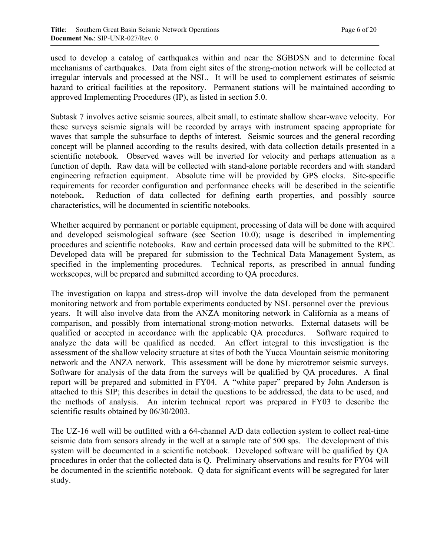used to develop a catalog of earthquakes within and near the SGBDSN and to determine focal mechanisms of earthquakes. Data from eight sites of the strong-motion network will be collected at irregular intervals and processed at the NSL. It will be used to complement estimates of seismic hazard to critical facilities at the repository. Permanent stations will be maintained according to approved Implementing Procedures (IP), as listed in section 5.0.

Subtask 7 involves active seismic sources, albeit small, to estimate shallow shear-wave velocity. For these surveys seismic signals will be recorded by arrays with instrument spacing appropriate for waves that sample the subsurface to depths of interest. Seismic sources and the general recording concept will be planned according to the results desired, with data collection details presented in a scientific notebook. Observed waves will be inverted for velocity and perhaps attenuation as a function of depth.Raw data will be collected with stand-alone portable recorders and with standard engineering refraction equipment. Absolute time will be provided by GPS clocks. Site-specific requirements for recorder configuration and performance checks will be described in the scientific notebook**.** Reduction of data collected for defining earth properties, and possibly source characteristics, will be documented in scientific notebooks.

Whether acquired by permanent or portable equipment, processing of data will be done with acquired and developed seismological software (see Section 10.0); usage is described in implementing procedures and scientific notebooks. Raw and certain processed data will be submitted to the RPC. Developed data will be prepared for submission to the Technical Data Management System, as specified in the implementing procedures. Technical reports, as prescribed in annual funding workscopes, will be prepared and submitted according to QA procedures.

The investigation on kappa and stress-drop will involve the data developed from the permanent monitoring network and from portable experiments conducted by NSL personnel over the previous years. It will also involve data from the ANZA monitoring network in California as a means of comparison, and possibly from international strong-motion networks. External datasets will be qualified or accepted in accordance with the applicable QA procedures. Software required to analyze the data will be qualified as needed. An effort integral to this investigation is the assessment of the shallow velocity structure at sites of both the Yucca Mountain seismic monitoring network and the ANZA network. This assessment will be done by microtremor seismic surveys. Software for analysis of the data from the surveys will be qualified by QA procedures. A final report will be prepared and submitted in FY04. A "white paper" prepared by John Anderson is attached to this SIP; this describes in detail the questions to be addressed, the data to be used, and the methods of analysis. An interim technical report was prepared in FY03 to describe the scientific results obtained by 06/30/2003.

The UZ-16 well will be outfitted with a 64-channel A/D data collection system to collect real-time seismic data from sensors already in the well at a sample rate of 500 sps. The development of this system will be documented in a scientific notebook. Developed software will be qualified by QA procedures in order that the collected data is Q. Preliminary observations and results for FY04 will be documented in the scientific notebook. Q data for significant events will be segregated for later study.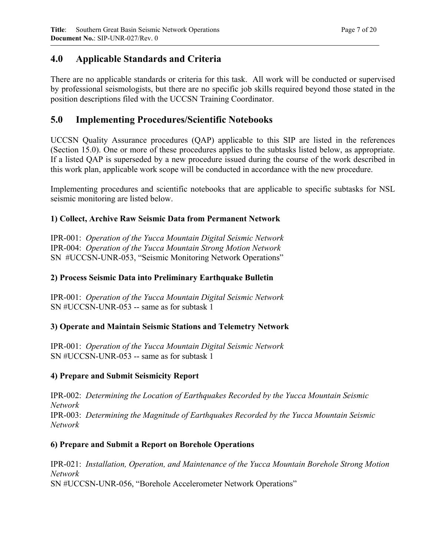# **4.0 Applicable Standards and Criteria**

There are no applicable standards or criteria for this task. All work will be conducted or supervised by professional seismologists, but there are no specific job skills required beyond those stated in the position descriptions filed with the UCCSN Training Coordinator.

# **5.0 Implementing Procedures/Scientific Notebooks**

UCCSN Quality Assurance procedures (QAP) applicable to this SIP are listed in the references (Section 15.0). One or more of these procedures applies to the subtasks listed below, as appropriate. If a listed QAP is superseded by a new procedure issued during the course of the work described in this work plan, applicable work scope will be conducted in accordance with the new procedure.

Implementing procedures and scientific notebooks that are applicable to specific subtasks for NSL seismic monitoring are listed below.

### **1) Collect, Archive Raw Seismic Data from Permanent Network**

IPR-001: *Operation of the Yucca Mountain Digital Seismic Network* IPR-004: *Operation of the Yucca Mountain Strong Motion Network* SN #UCCSN-UNR-053, "Seismic Monitoring Network Operations"

### **2) Process Seismic Data into Preliminary Earthquake Bulletin**

IPR-001: *Operation of the Yucca Mountain Digital Seismic Network* SN #UCCSN-UNR-053 -- same as for subtask 1

### **3) Operate and Maintain Seismic Stations and Telemetry Network**

IPR-001: *Operation of the Yucca Mountain Digital Seismic Network*  SN #UCCSN-UNR-053 -- same as for subtask 1

### **4) Prepare and Submit Seismicity Report**

IPR-002: *Determining the Location of Earthquakes Recorded by the Yucca Mountain Seismic Network* IPR-003: *Determining the Magnitude of Earthquakes Recorded by the Yucca Mountain Seismic Network*

### **6) Prepare and Submit a Report on Borehole Operations**

IPR-021: *Installation, Operation, and Maintenance of the Yucca Mountain Borehole Strong Motion Network*  SN #UCCSN-UNR-056, "Borehole Accelerometer Network Operations"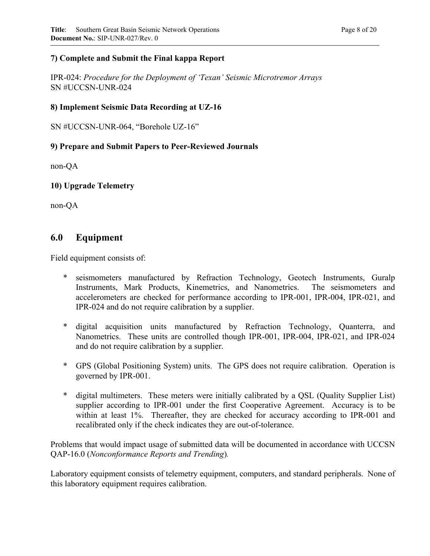### **7) Complete and Submit the Final kappa Report**

IPR-024: *Procedure for the Deployment of 'Texan' Seismic Microtremor Arrays* SN #UCCSN-UNR-024

### **8) Implement Seismic Data Recording at UZ-16**

SN #UCCSN-UNR-064, "Borehole UZ-16"

### **9) Prepare and Submit Papers to Peer-Reviewed Journals**

non-QA

**10) Upgrade Telemetry** 

non-QA

### **6.0 Equipment**

Field equipment consists of:

- \* seismometers manufactured by Refraction Technology, Geotech Instruments, Guralp Instruments, Mark Products, Kinemetrics, and Nanometrics. The seismometers and accelerometers are checked for performance according to IPR-001, IPR-004, IPR-021, and IPR-024 and do not require calibration by a supplier.
- \* digital acquisition units manufactured by Refraction Technology, Quanterra, and Nanometrics. These units are controlled though IPR-001, IPR-004, IPR-021, and IPR-024 and do not require calibration by a supplier.
- \* GPS (Global Positioning System) units. The GPS does not require calibration. Operation is governed by IPR-001.
- \* digital multimeters. These meters were initially calibrated by a QSL (Quality Supplier List) supplier according to IPR-001 under the first Cooperative Agreement. Accuracy is to be within at least 1%. Thereafter, they are checked for accuracy according to IPR-001 and recalibrated only if the check indicates they are out-of-tolerance.

Problems that would impact usage of submitted data will be documented in accordance with UCCSN QAP-16.0 (*Nonconformance Reports and Trending*)*.*

Laboratory equipment consists of telemetry equipment, computers, and standard peripherals. None of this laboratory equipment requires calibration.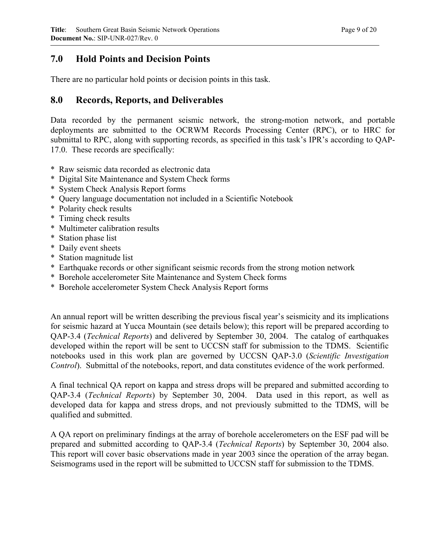# **7.0 Hold Points and Decision Points**

There are no particular hold points or decision points in this task.

### **8.0 Records, Reports, and Deliverables**

Data recorded by the permanent seismic network, the strong-motion network, and portable deployments are submitted to the OCRWM Records Processing Center (RPC), or to HRC for submittal to RPC, along with supporting records, as specified in this task's IPR's according to QAP-17.0. These records are specifically:

- \* Raw seismic data recorded as electronic data
- \* Digital Site Maintenance and System Check forms
- \* System Check Analysis Report forms
- \* Query language documentation not included in a Scientific Notebook
- \* Polarity check results
- \* Timing check results
- \* Multimeter calibration results
- \* Station phase list

- \* Daily event sheets
- \* Station magnitude list
- \* Earthquake records or other significant seismic records from the strong motion network
- \* Borehole accelerometer Site Maintenance and System Check forms
- \* Borehole accelerometer System Check Analysis Report forms

An annual report will be written describing the previous fiscal year's seismicity and its implications for seismic hazard at Yucca Mountain (see details below); this report will be prepared according to QAP-3.4 (*Technical Reports*) and delivered by September 30, 2004. The catalog of earthquakes developed within the report will be sent to UCCSN staff for submission to the TDMS. Scientific notebooks used in this work plan are governed by UCCSN QAP-3.0 (*Scientific Investigation Control*). Submittal of the notebooks, report, and data constitutes evidence of the work performed.

A final technical QA report on kappa and stress drops will be prepared and submitted according to QAP-3.4 (*Technical Reports*) by September 30, 2004. Data used in this report, as well as developed data for kappa and stress drops, and not previously submitted to the TDMS, will be qualified and submitted.

A QA report on preliminary findings at the array of borehole accelerometers on the ESF pad will be prepared and submitted according to QAP-3.4 (*Technical Reports*) by September 30, 2004 also. This report will cover basic observations made in year 2003 since the operation of the array began. Seismograms used in the report will be submitted to UCCSN staff for submission to the TDMS.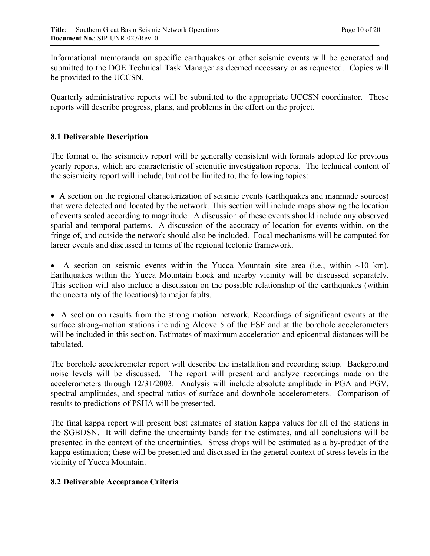Informational memoranda on specific earthquakes or other seismic events will be generated and submitted to the DOE Technical Task Manager as deemed necessary or as requested. Copies will be provided to the UCCSN.

Quarterly administrative reports will be submitted to the appropriate UCCSN coordinator. These reports will describe progress, plans, and problems in the effort on the project.

### **8.1 Deliverable Description**

The format of the seismicity report will be generally consistent with formats adopted for previous yearly reports, which are characteristic of scientific investigation reports. The technical content of the seismicity report will include, but not be limited to, the following topics:

• A section on the regional characterization of seismic events (earthquakes and manmade sources) that were detected and located by the network. This section will include maps showing the location of events scaled according to magnitude. A discussion of these events should include any observed spatial and temporal patterns. A discussion of the accuracy of location for events within, on the fringe of, and outside the network should also be included. Focal mechanisms will be computed for larger events and discussed in terms of the regional tectonic framework.

• A section on seismic events within the Yucca Mountain site area (i.e., within  $\sim$ 10 km). Earthquakes within the Yucca Mountain block and nearby vicinity will be discussed separately. This section will also include a discussion on the possible relationship of the earthquakes (within the uncertainty of the locations) to major faults.

• A section on results from the strong motion network. Recordings of significant events at the surface strong-motion stations including Alcove 5 of the ESF and at the borehole accelerometers will be included in this section. Estimates of maximum acceleration and epicentral distances will be tabulated.

The borehole accelerometer report will describe the installation and recording setup. Background noise levels will be discussed. The report will present and analyze recordings made on the accelerometers through 12/31/2003. Analysis will include absolute amplitude in PGA and PGV, spectral amplitudes, and spectral ratios of surface and downhole accelerometers. Comparison of results to predictions of PSHA will be presented.

The final kappa report will present best estimates of station kappa values for all of the stations in the SGBDSN. It will define the uncertainty bands for the estimates, and all conclusions will be presented in the context of the uncertainties. Stress drops will be estimated as a by-product of the kappa estimation; these will be presented and discussed in the general context of stress levels in the vicinity of Yucca Mountain.

### **8.2 Deliverable Acceptance Criteria**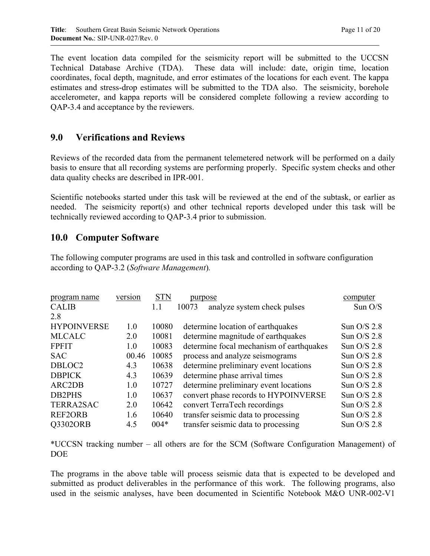The event location data compiled for the seismicity report will be submitted to the UCCSN Technical Database Archive (TDA). These data will include: date, origin time, location coordinates, focal depth, magnitude, and error estimates of the locations for each event. The kappa estimates and stress-drop estimates will be submitted to the TDA also. The seismicity, borehole accelerometer, and kappa reports will be considered complete following a review according to QAP-3.4 and acceptance by the reviewers.

## **9.0 Verifications and Reviews**

Reviews of the recorded data from the permanent telemetered network will be performed on a daily basis to ensure that all recording systems are performing properly. Specific system checks and other data quality checks are described in IPR-001.

Scientific notebooks started under this task will be reviewed at the end of the subtask, or earlier as needed. The seismicity report(s) and other technical reports developed under this task will be technically reviewed according to QAP-3.4 prior to submission.

# **10.0 Computer Software**

The following computer programs are used in this task and controlled in software configuration according to QAP-3.2 (*Software Management*)*.*

| program name       | version | <b>STN</b> | purpose                                  | computer      |
|--------------------|---------|------------|------------------------------------------|---------------|
| <b>CALIB</b>       |         | 1.1        | analyze system check pulses<br>10073     | Sun O/S       |
| 2.8                |         |            |                                          |               |
| <b>HYPOINVERSE</b> | 1.0     | 10080      | determine location of earthquakes        | Sun $O/S$ 2.8 |
| <b>MLCALC</b>      | 2.0     | 10081      | determine magnitude of earthquakes       | Sun $O/S$ 2.8 |
| <b>FPFIT</b>       | 1.0     | 10083      | determine focal mechanism of earthquakes | Sun $O/S$ 2.8 |
| <b>SAC</b>         | 00.46   | 10085      | process and analyze seismograms          | Sun $O/S$ 2.8 |
| DBLOC2             | 4.3     | 10638      | determine preliminary event locations    | Sun $O/S$ 2.8 |
| <b>DBPICK</b>      | 4.3     | 10639      | determine phase arrival times            | Sun $O/S$ 2.8 |
| ARC2DB             | 1.0     | 10727      | determine preliminary event locations    | Sun $O/S$ 2.8 |
| <b>DB2PHS</b>      | 1.0     | 10637      | convert phase records to HYPOINVERSE     | Sun $O/S$ 2.8 |
| <b>TERRA2SAC</b>   | 2.0     | 10642      | convert TerraTech recordings             | Sun O/S 2.8   |
| <b>REF2ORB</b>     | 1.6     | 10640      | transfer seismic data to processing      | Sun $O/S$ 2.8 |
| <b>O3302ORB</b>    | 4.5     | $004*$     | transfer seismic data to processing      | Sun $O/S$ 2.8 |

\*UCCSN tracking number – all others are for the SCM (Software Configuration Management) of DOE

The programs in the above table will process seismic data that is expected to be developed and submitted as product deliverables in the performance of this work. The following programs, also used in the seismic analyses, have been documented in Scientific Notebook M&O UNR-002-V1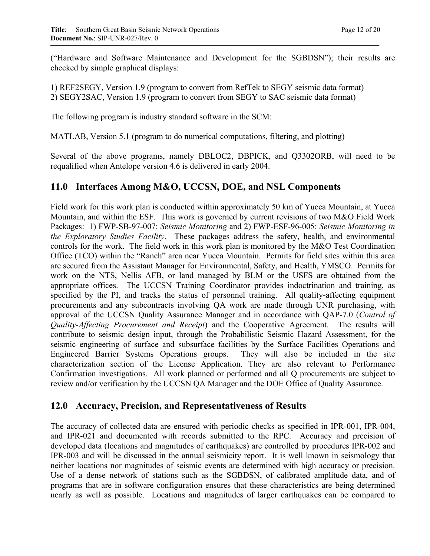("Hardware and Software Maintenance and Development for the SGBDSN"); their results are checked by simple graphical displays:

1) REF2SEGY, Version 1.9 (program to convert from RefTek to SEGY seismic data format) 2) SEGY2SAC, Version 1.9 (program to convert from SEGY to SAC seismic data format)

The following program is industry standard software in the SCM:

MATLAB, Version 5.1 (program to do numerical computations, filtering, and plotting)

Several of the above programs, namely DBLOC2, DBPICK, and Q3302ORB, will need to be requalified when Antelope version 4.6 is delivered in early 2004.

### **11.0 Interfaces Among M&O, UCCSN, DOE, and NSL Components**

Field work for this work plan is conducted within approximately 50 km of Yucca Mountain, at Yucca Mountain, and within the ESF. This work is governed by current revisions of two M&O Field Work Packages: 1) FWP-SB-97-007: *Seismic Monitoring* and 2) FWP-ESF-96-005: *Seismic Monitoring in the Exploratory Studies Facility*. These packages address the safety, health, and environmental controls for the work. The field work in this work plan is monitored by the M&O Test Coordination Office (TCO) within the "Ranch" area near Yucca Mountain. Permits for field sites within this area are secured from the Assistant Manager for Environmental, Safety, and Health, YMSCO. Permits for work on the NTS, Nellis AFB, or land managed by BLM or the USFS are obtained from the appropriate offices. The UCCSN Training Coordinator provides indoctrination and training, as specified by the PI, and tracks the status of personnel training. All quality-affecting equipment procurements and any subcontracts involving QA work are made through UNR purchasing, with approval of the UCCSN Quality Assurance Manager and in accordance with QAP-7.0 (*Control of Quality-Affecting Procurement and Receipt*) and the Cooperative Agreement. The results will contribute to seismic design input, through the Probabilistic Seismic Hazard Assessment, for the seismic engineering of surface and subsurface facilities by the Surface Facilities Operations and Engineered Barrier Systems Operations groups. They will also be included in the site characterization section of the License Application. They are also relevant to Performance Confirmation investigations. All work planned or performed and all Q procurements are subject to review and/or verification by the UCCSN QA Manager and the DOE Office of Quality Assurance.

### **12.0 Accuracy, Precision, and Representativeness of Results**

The accuracy of collected data are ensured with periodic checks as specified in IPR-001, IPR-004, and IPR-021 and documented with records submitted to the RPC. Accuracy and precision of developed data (locations and magnitudes of earthquakes) are controlled by procedures IPR-002 and IPR-003 and will be discussed in the annual seismicity report. It is well known in seismology that neither locations nor magnitudes of seismic events are determined with high accuracy or precision. Use of a dense network of stations such as the SGBDSN, of calibrated amplitude data, and of programs that are in software configuration ensures that these characteristics are being determined nearly as well as possible. Locations and magnitudes of larger earthquakes can be compared to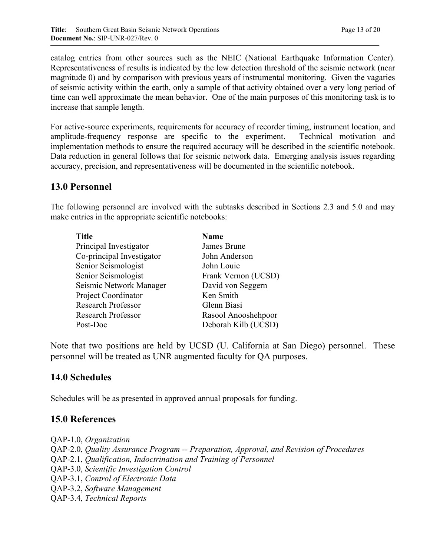catalog entries from other sources such as the NEIC (National Earthquake Information Center). Representativeness of results is indicated by the low detection threshold of the seismic network (near magnitude 0) and by comparison with previous years of instrumental monitoring. Given the vagaries of seismic activity within the earth, only a sample of that activity obtained over a very long period of time can well approximate the mean behavior. One of the main purposes of this monitoring task is to increase that sample length.

For active-source experiments, requirements for accuracy of recorder timing, instrument location, and amplitude-frequency response are specific to the experiment. Technical motivation and implementation methods to ensure the required accuracy will be described in the scientific notebook. Data reduction in general follows that for seismic network data. Emerging analysis issues regarding accuracy, precision, and representativeness will be documented in the scientific notebook.

# **13.0 Personnel**

The following personnel are involved with the subtasks described in Sections 2.3 and 5.0 and may make entries in the appropriate scientific notebooks:

| <b>Name</b>         |
|---------------------|
| James Brune         |
| John Anderson       |
| John Louie          |
| Frank Vernon (UCSD) |
| David von Seggern   |
| Ken Smith           |
| Glenn Biasi         |
| Rasool Anooshehpoor |
| Deborah Kilb (UCSD) |
|                     |

Note that two positions are held by UCSD (U. California at San Diego) personnel. These personnel will be treated as UNR augmented faculty for QA purposes.

### **14.0 Schedules**

Schedules will be as presented in approved annual proposals for funding.

### **15.0 References**

QAP-1.0, *Organization*  QAP-2.0, *Quality Assurance Program -- Preparation, Approval, and Revision of Procedures* QAP-2.1, *Qualification, Indoctrination and Training of Personnel* QAP-3.0, *Scientific Investigation Control* QAP-3.1, *Control of Electronic Data* QAP-3.2, *Software Management* QAP-3.4, *Technical Reports*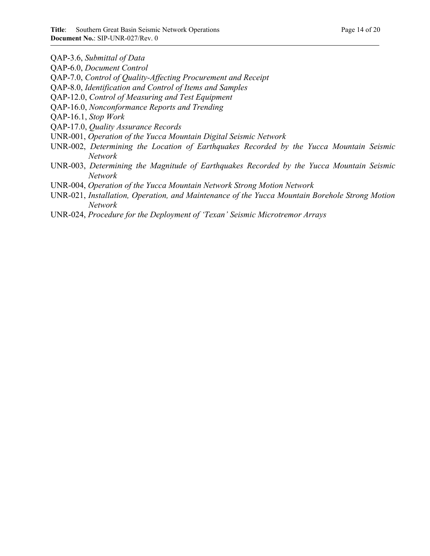QAP-3.6, *Submittal of Data* 

- QAP-6.0, *Document Control*
- QAP-7.0, *Control of Quality-Affecting Procurement and Receipt*
- QAP-8.0, *Identification and Control of Items and Samples*
- QAP-12.0, *Control of Measuring and Test Equipment*
- QAP-16.0, *Nonconformance Reports and Trending*
- QAP-16.1, *Stop Work*
- QAP-17.0, *Quality Assurance Records*
- UNR-001, *Operation of the Yucca Mountain Digital Seismic Network*
- UNR-002, *Determining the Location of Earthquakes Recorded by the Yucca Mountain Seismic Network*
- UNR-003, *Determining the Magnitude of Earthquakes Recorded by the Yucca Mountain Seismic Network*
- UNR-004, *Operation of the Yucca Mountain Network Strong Motion Network*
- UNR-021, *Installation, Operation, and Maintenance of the Yucca Mountain Borehole Strong Motion Network*
- UNR-024, *Procedure for the Deployment of 'Texan' Seismic Microtremor Arrays*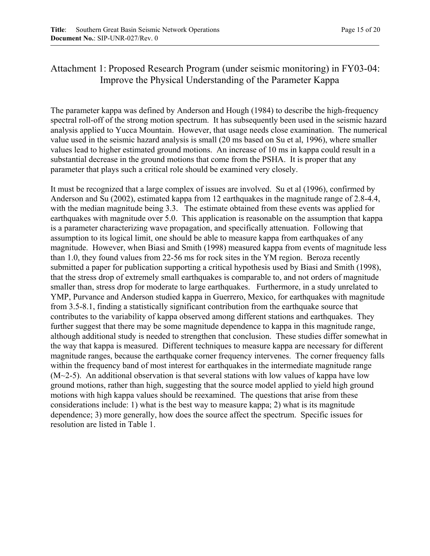# Attachment 1: Proposed Research Program (under seismic monitoring) in FY03-04: Improve the Physical Understanding of the Parameter Kappa

The parameter kappa was defined by Anderson and Hough (1984) to describe the high-frequency spectral roll-off of the strong motion spectrum. It has subsequently been used in the seismic hazard analysis applied to Yucca Mountain. However, that usage needs close examination. The numerical value used in the seismic hazard analysis is small (20 ms based on Su et al, 1996), where smaller values lead to higher estimated ground motions. An increase of 10 ms in kappa could result in a substantial decrease in the ground motions that come from the PSHA. It is proper that any parameter that plays such a critical role should be examined very closely.

It must be recognized that a large complex of issues are involved. Su et al (1996), confirmed by Anderson and Su (2002), estimated kappa from 12 earthquakes in the magnitude range of 2.8-4.4, with the median magnitude being 3.3. The estimate obtained from these events was applied for earthquakes with magnitude over 5.0. This application is reasonable on the assumption that kappa is a parameter characterizing wave propagation, and specifically attenuation. Following that assumption to its logical limit, one should be able to measure kappa from earthquakes of any magnitude. However, when Biasi and Smith (1998) measured kappa from events of magnitude less than 1.0, they found values from 22-56 ms for rock sites in the YM region. Beroza recently submitted a paper for publication supporting a critical hypothesis used by Biasi and Smith (1998), that the stress drop of extremely small earthquakes is comparable to, and not orders of magnitude smaller than, stress drop for moderate to large earthquakes. Furthermore, in a study unrelated to YMP, Purvance and Anderson studied kappa in Guerrero, Mexico, for earthquakes with magnitude from 3.5-8.1, finding a statistically significant contribution from the earthquake source that contributes to the variability of kappa observed among different stations and earthquakes. They further suggest that there may be some magnitude dependence to kappa in this magnitude range, although additional study is needed to strengthen that conclusion. These studies differ somewhat in the way that kappa is measured. Different techniques to measure kappa are necessary for different magnitude ranges, because the earthquake corner frequency intervenes. The corner frequency falls within the frequency band of most interest for earthquakes in the intermediate magnitude range  $(M~2-5)$ . An additional observation is that several stations with low values of kappa have low ground motions, rather than high, suggesting that the source model applied to yield high ground motions with high kappa values should be reexamined. The questions that arise from these considerations include: 1) what is the best way to measure kappa; 2) what is its magnitude dependence; 3) more generally, how does the source affect the spectrum. Specific issues for resolution are listed in Table 1.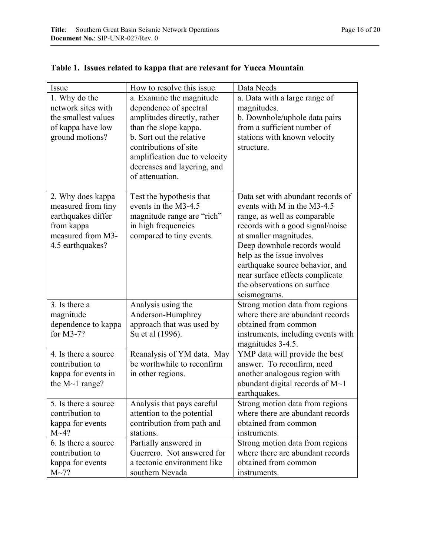| Issue                            | How to resolve this issue     | Data Needs                                                          |
|----------------------------------|-------------------------------|---------------------------------------------------------------------|
| 1. Why do the                    | a. Examine the magnitude      | a. Data with a large range of                                       |
| network sites with               | dependence of spectral        | magnitudes.                                                         |
| the smallest values              | amplitudes directly, rather   | b. Downhole/uphole data pairs                                       |
| of kappa have low                | than the slope kappa.         | from a sufficient number of                                         |
| ground motions?                  | b. Sort out the relative      | stations with known velocity                                        |
|                                  | contributions of site         | structure.                                                          |
|                                  | amplification due to velocity |                                                                     |
|                                  | decreases and layering, and   |                                                                     |
|                                  | of attenuation.               |                                                                     |
|                                  |                               |                                                                     |
| 2. Why does kappa                | Test the hypothesis that      | Data set with abundant records of                                   |
| measured from tiny               | events in the M3-4.5          | events with M in the M3-4.5                                         |
| earthquakes differ               | magnitude range are "rich"    | range, as well as comparable                                        |
| from kappa                       | in high frequencies           | records with a good signal/noise                                    |
| measured from M3-                | compared to tiny events.      | at smaller magnitudes.                                              |
| 4.5 earthquakes?                 |                               | Deep downhole records would                                         |
|                                  |                               | help as the issue involves                                          |
|                                  |                               | earthquake source behavior, and                                     |
|                                  |                               | near surface effects complicate                                     |
|                                  |                               | the observations on surface                                         |
|                                  |                               | seismograms.                                                        |
| 3. Is there a                    | Analysis using the            | Strong motion data from regions<br>where there are abundant records |
| magnitude                        | Anderson-Humphrey             |                                                                     |
| dependence to kappa<br>for M3-7? | approach that was used by     | obtained from common                                                |
|                                  | Su et al (1996).              | instruments, including events with<br>magnitudes 3-4.5.             |
| 4. Is there a source             | Reanalysis of YM data. May    | YMP data will provide the best                                      |
| contribution to                  | be worthwhile to reconfirm    | answer. To reconfirm, need                                          |
| kappa for events in              | in other regions.             | another analogous region with                                       |
| the $M \sim 1$ range?            |                               | abundant digital records of $M1$                                    |
|                                  |                               | earthquakes.                                                        |
| 5. Is there a source             | Analysis that pays careful    | Strong motion data from regions                                     |
| contribution to                  | attention to the potential    | where there are abundant records                                    |
| kappa for events                 | contribution from path and    | obtained from common                                                |
| $M~1$ ?                          | stations.                     | instruments.                                                        |
| 6. Is there a source             | Partially answered in         | Strong motion data from regions                                     |
| contribution to                  | Guerrero. Not answered for    | where there are abundant records                                    |
| kappa for events                 | a tectonic environment like   | obtained from common                                                |
| $M \sim 7?$                      | southern Nevada               | instruments.                                                        |

# **Table 1. Issues related to kappa that are relevant for Yucca Mountain**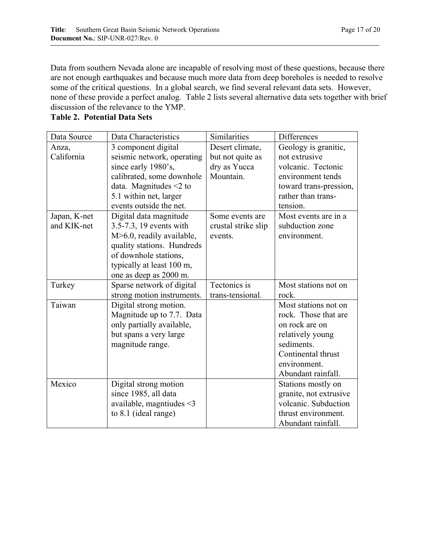Data from southern Nevada alone are incapable of resolving most of these questions, because there are not enough earthquakes and because much more data from deep boreholes is needed to resolve some of the critical questions. In a global search, we find several relevant data sets. However, none of these provide a perfect analog. Table 2 lists several alternative data sets together with brief discussion of the relevance to the YMP.

| <b>Table 2. Potential Data Sets</b> |  |
|-------------------------------------|--|
|                                     |  |

| Data Source  | Data Characteristics           | Similarities        | <b>Differences</b>     |
|--------------|--------------------------------|---------------------|------------------------|
| Anza,        | 3 component digital            | Desert climate,     | Geology is granitic,   |
| California   | seismic network, operating     | but not quite as    | not extrusive          |
|              | since early 1980's,            | dry as Yucca        | volcanic. Tectonic     |
|              | calibrated, some downhole      | Mountain.           | environment tends      |
|              | data. Magnitudes $\leq 2$ to   |                     | toward trans-pression, |
|              | 5.1 within net, larger         |                     | rather than trans-     |
|              | events outside the net.        |                     | tension.               |
| Japan, K-net | Digital data magnitude         | Some events are     | Most events are in a   |
| and KIK-net  | 3.5-7.3, 19 events with        | crustal strike slip | subduction zone        |
|              | M>6.0, readily available,      | events.             | environment.           |
|              | quality stations. Hundreds     |                     |                        |
|              | of downhole stations,          |                     |                        |
|              | typically at least 100 m,      |                     |                        |
|              | one as deep as 2000 m.         |                     |                        |
| Turkey       | Sparse network of digital      | Tectonics is        | Most stations not on   |
|              | strong motion instruments.     | trans-tensional.    | rock.                  |
| Taiwan       | Digital strong motion.         |                     | Most stations not on   |
|              | Magnitude up to 7.7. Data      |                     | rock. Those that are   |
|              | only partially available,      |                     | on rock are on         |
|              | but spans a very large         |                     | relatively young       |
|              | magnitude range.               |                     | sediments.             |
|              |                                |                     | Continental thrust     |
|              |                                |                     | environment.           |
|              |                                |                     | Abundant rainfall.     |
| Mexico       | Digital strong motion          |                     | Stations mostly on     |
|              | since 1985, all data           |                     | granite, not extrusive |
|              | available, magntiudes $\leq$ 3 |                     | volcanic. Subduction   |
|              | to 8.1 (ideal range)           |                     | thrust environment.    |
|              |                                |                     | Abundant rainfall.     |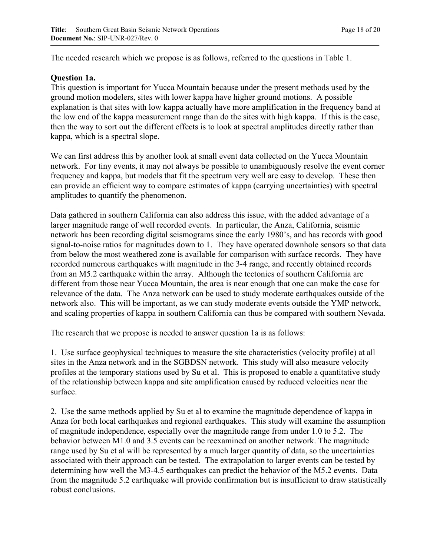The needed research which we propose is as follows, referred to the questions in Table 1.

#### **Question 1a.**

This question is important for Yucca Mountain because under the present methods used by the ground motion modelers, sites with lower kappa have higher ground motions. A possible explanation is that sites with low kappa actually have more amplification in the frequency band at the low end of the kappa measurement range than do the sites with high kappa. If this is the case, then the way to sort out the different effects is to look at spectral amplitudes directly rather than kappa, which is a spectral slope.

We can first address this by another look at small event data collected on the Yucca Mountain network. For tiny events, it may not always be possible to unambiguously resolve the event corner frequency and kappa, but models that fit the spectrum very well are easy to develop. These then can provide an efficient way to compare estimates of kappa (carrying uncertainties) with spectral amplitudes to quantify the phenomenon.

Data gathered in southern California can also address this issue, with the added advantage of a larger magnitude range of well recorded events. In particular, the Anza, California, seismic network has been recording digital seismograms since the early 1980's, and has records with good signal-to-noise ratios for magnitudes down to 1. They have operated downhole sensors so that data from below the most weathered zone is available for comparison with surface records. They have recorded numerous earthquakes with magnitude in the 3-4 range, and recently obtained records from an M5.2 earthquake within the array. Although the tectonics of southern California are different from those near Yucca Mountain, the area is near enough that one can make the case for relevance of the data. The Anza network can be used to study moderate earthquakes outside of the network also. This will be important, as we can study moderate events outside the YMP network, and scaling properties of kappa in southern California can thus be compared with southern Nevada.

The research that we propose is needed to answer question 1a is as follows:

1. Use surface geophysical techniques to measure the site characteristics (velocity profile) at all sites in the Anza network and in the SGBDSN network. This study will also measure velocity profiles at the temporary stations used by Su et al. This is proposed to enable a quantitative study of the relationship between kappa and site amplification caused by reduced velocities near the surface.

2. Use the same methods applied by Su et al to examine the magnitude dependence of kappa in Anza for both local earthquakes and regional earthquakes. This study will examine the assumption of magnitude independence, especially over the magnitude range from under 1.0 to 5.2. The behavior between M1.0 and 3.5 events can be reexamined on another network. The magnitude range used by Su et al will be represented by a much larger quantity of data, so the uncertainties associated with their approach can be tested. The extrapolation to larger events can be tested by determining how well the M3-4.5 earthquakes can predict the behavior of the M5.2 events. Data from the magnitude 5.2 earthquake will provide confirmation but is insufficient to draw statistically robust conclusions.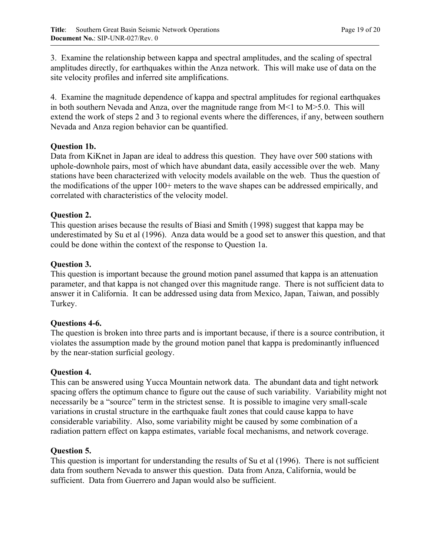3. Examine the relationship between kappa and spectral amplitudes, and the scaling of spectral amplitudes directly, for earthquakes within the Anza network. This will make use of data on the site velocity profiles and inferred site amplifications.

4. Examine the magnitude dependence of kappa and spectral amplitudes for regional earthquakes in both southern Nevada and Anza, over the magnitude range from  $M<1$  to  $M>5.0$ . This will extend the work of steps 2 and 3 to regional events where the differences, if any, between southern Nevada and Anza region behavior can be quantified.

### **Question 1b.**

Data from KiKnet in Japan are ideal to address this question. They have over 500 stations with uphole-downhole pairs, most of which have abundant data, easily accessible over the web. Many stations have been characterized with velocity models available on the web. Thus the question of the modifications of the upper 100+ meters to the wave shapes can be addressed empirically, and correlated with characteristics of the velocity model.

### **Question 2.**

This question arises because the results of Biasi and Smith (1998) suggest that kappa may be underestimated by Su et al (1996). Anza data would be a good set to answer this question, and that could be done within the context of the response to Question 1a.

### **Question 3.**

This question is important because the ground motion panel assumed that kappa is an attenuation parameter, and that kappa is not changed over this magnitude range. There is not sufficient data to answer it in California. It can be addressed using data from Mexico, Japan, Taiwan, and possibly Turkey.

#### **Questions 4-6.**

The question is broken into three parts and is important because, if there is a source contribution, it violates the assumption made by the ground motion panel that kappa is predominantly influenced by the near-station surficial geology.

#### **Question 4.**

This can be answered using Yucca Mountain network data. The abundant data and tight network spacing offers the optimum chance to figure out the cause of such variability. Variability might not necessarily be a "source" term in the strictest sense. It is possible to imagine very small-scale variations in crustal structure in the earthquake fault zones that could cause kappa to have considerable variability. Also, some variability might be caused by some combination of a radiation pattern effect on kappa estimates, variable focal mechanisms, and network coverage.

#### **Question 5.**

This question is important for understanding the results of Su et al (1996). There is not sufficient data from southern Nevada to answer this question. Data from Anza, California, would be sufficient. Data from Guerrero and Japan would also be sufficient.